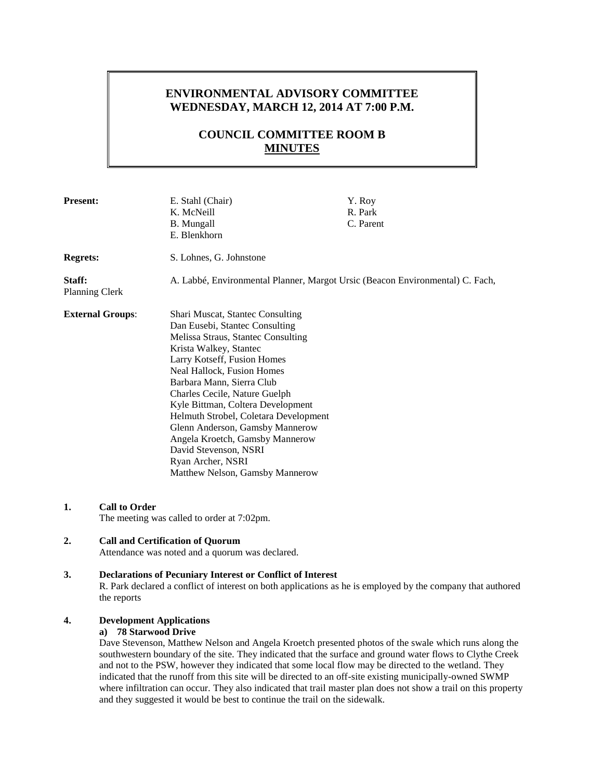## **ENVIRONMENTAL ADVISORY COMMITTEE WEDNESDAY, MARCH 12, 2014 AT 7:00 P.M.**

# **COUNCIL COMMITTEE ROOM B MINUTES**

| <b>Present:</b>                 |                                                                                            | E. Stahl (Chair)<br>K. McNeill<br><b>B.</b> Mungall<br>E. Blenkhorn                                                                                                                                                                                                                                                                                                                                                                                                                                       | Y. Roy<br>R. Park<br>C. Parent |
|---------------------------------|--------------------------------------------------------------------------------------------|-----------------------------------------------------------------------------------------------------------------------------------------------------------------------------------------------------------------------------------------------------------------------------------------------------------------------------------------------------------------------------------------------------------------------------------------------------------------------------------------------------------|--------------------------------|
| <b>Regrets:</b>                 |                                                                                            | S. Lohnes, G. Johnstone                                                                                                                                                                                                                                                                                                                                                                                                                                                                                   |                                |
| Staff:<br><b>Planning Clerk</b> | A. Labbé, Environmental Planner, Margot Ursic (Beacon Environmental) C. Fach,              |                                                                                                                                                                                                                                                                                                                                                                                                                                                                                                           |                                |
|                                 | <b>External Groups:</b>                                                                    | <b>Shari Muscat, Stantec Consulting</b><br>Dan Eusebi, Stantec Consulting<br>Melissa Straus, Stantec Consulting<br>Krista Walkey, Stantec<br>Larry Kotseff, Fusion Homes<br>Neal Hallock, Fusion Homes<br>Barbara Mann, Sierra Club<br>Charles Cecile, Nature Guelph<br>Kyle Bittman, Coltera Development<br>Helmuth Strobel, Coletara Development<br>Glenn Anderson, Gamsby Mannerow<br>Angela Kroetch, Gamsby Mannerow<br>David Stevenson, NSRI<br>Ryan Archer, NSRI<br>Matthew Nelson, Gamsby Mannerow |                                |
| 1.                              | <b>Call to Order</b>                                                                       | The meeting was called to order at 7:02pm.                                                                                                                                                                                                                                                                                                                                                                                                                                                                |                                |
| 2.                              | <b>Call and Certification of Quorum</b><br>Attendance was noted and a quorum was declared. |                                                                                                                                                                                                                                                                                                                                                                                                                                                                                                           |                                |

## **3. Declarations of Pecuniary Interest or Conflict of Interest** R. Park declared a conflict of interest on both applications as he is employed by the company that authored the reports

## **4. Development Applications**

#### **a) 78 Starwood Drive**

Dave Stevenson, Matthew Nelson and Angela Kroetch presented photos of the swale which runs along the southwestern boundary of the site. They indicated that the surface and ground water flows to Clythe Creek and not to the PSW, however they indicated that some local flow may be directed to the wetland. They indicated that the runoff from this site will be directed to an off-site existing municipally-owned SWMP where infiltration can occur. They also indicated that trail master plan does not show a trail on this property and they suggested it would be best to continue the trail on the sidewalk.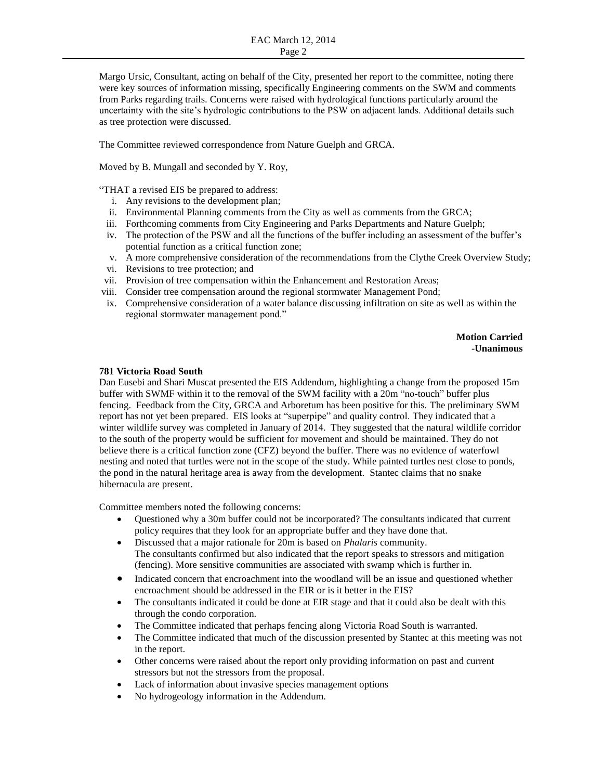Margo Ursic, Consultant, acting on behalf of the City, presented her report to the committee, noting there were key sources of information missing, specifically Engineering comments on the SWM and comments from Parks regarding trails. Concerns were raised with hydrological functions particularly around the uncertainty with the site's hydrologic contributions to the PSW on adjacent lands. Additional details such as tree protection were discussed.

The Committee reviewed correspondence from Nature Guelph and GRCA.

Moved by B. Mungall and seconded by Y. Roy,

"THAT a revised EIS be prepared to address:

- i. Any revisions to the development plan;
- ii. Environmental Planning comments from the City as well as comments from the GRCA;
- iii. Forthcoming comments from City Engineering and Parks Departments and Nature Guelph;
- iv. The protection of the PSW and all the functions of the buffer including an assessment of the buffer's potential function as a critical function zone;
- v. A more comprehensive consideration of the recommendations from the Clythe Creek Overview Study;
- vi. Revisions to tree protection; and
- vii. Provision of tree compensation within the Enhancement and Restoration Areas;
- viii. Consider tree compensation around the regional stormwater Management Pond;
- ix. Comprehensive consideration of a water balance discussing infiltration on site as well as within the regional stormwater management pond."

**Motion Carried -Unanimous**

#### **781 Victoria Road South**

Dan Eusebi and Shari Muscat presented the EIS Addendum, highlighting a change from the proposed 15m buffer with SWMF within it to the removal of the SWM facility with a 20m "no-touch" buffer plus fencing. Feedback from the City, GRCA and Arboretum has been positive for this. The preliminary SWM report has not yet been prepared. EIS looks at "superpipe" and quality control. They indicated that a winter wildlife survey was completed in January of 2014. They suggested that the natural wildlife corridor to the south of the property would be sufficient for movement and should be maintained. They do not believe there is a critical function zone (CFZ) beyond the buffer. There was no evidence of waterfowl nesting and noted that turtles were not in the scope of the study. While painted turtles nest close to ponds, the pond in the natural heritage area is away from the development. Stantec claims that no snake hibernacula are present.

Committee members noted the following concerns:

- Questioned why a 30m buffer could not be incorporated? The consultants indicated that current policy requires that they look for an appropriate buffer and they have done that.
- Discussed that a major rationale for 20m is based on *Phalaris* community. The consultants confirmed but also indicated that the report speaks to stressors and mitigation (fencing). More sensitive communities are associated with swamp which is further in.
- Indicated concern that encroachment into the woodland will be an issue and questioned whether encroachment should be addressed in the EIR or is it better in the EIS?
- The consultants indicated it could be done at EIR stage and that it could also be dealt with this through the condo corporation.
- The Committee indicated that perhaps fencing along Victoria Road South is warranted.
- The Committee indicated that much of the discussion presented by Stantec at this meeting was not in the report.
- Other concerns were raised about the report only providing information on past and current stressors but not the stressors from the proposal.
- Lack of information about invasive species management options
- No hydrogeology information in the Addendum.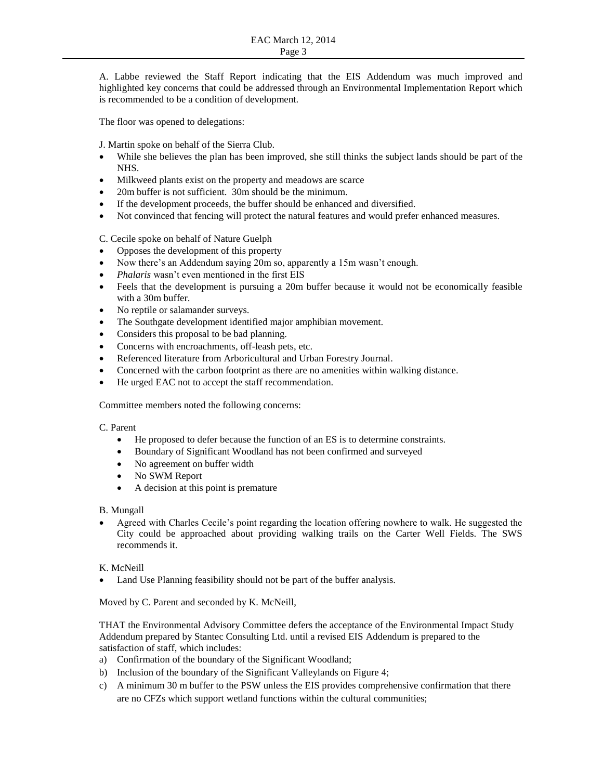A. Labbe reviewed the Staff Report indicating that the EIS Addendum was much improved and highlighted key concerns that could be addressed through an Environmental Implementation Report which is recommended to be a condition of development.

The floor was opened to delegations:

J. Martin spoke on behalf of the Sierra Club.

- While she believes the plan has been improved, she still thinks the subject lands should be part of the NHS.
- Milkweed plants exist on the property and meadows are scarce
- 20m buffer is not sufficient. 30m should be the minimum.
- If the development proceeds, the buffer should be enhanced and diversified.
- Not convinced that fencing will protect the natural features and would prefer enhanced measures.

C. Cecile spoke on behalf of Nature Guelph

- Opposes the development of this property
- Now there's an Addendum saying 20m so, apparently a 15m wasn't enough.
- *Phalaris* wasn't even mentioned in the first EIS
- Feels that the development is pursuing a 20m buffer because it would not be economically feasible with a 30m buffer.
- No reptile or salamander surveys.
- The Southgate development identified major amphibian movement.
- Considers this proposal to be bad planning.
- Concerns with encroachments, off-leash pets, etc.
- Referenced literature from Arboricultural and Urban Forestry Journal.
- Concerned with the carbon footprint as there are no amenities within walking distance.
- He urged EAC not to accept the staff recommendation.

Committee members noted the following concerns:

## C. Parent

- He proposed to defer because the function of an ES is to determine constraints.
- Boundary of Significant Woodland has not been confirmed and surveyed
- No agreement on buffer width
- No SWM Report
- A decision at this point is premature

## B. Mungall

 Agreed with Charles Cecile's point regarding the location offering nowhere to walk. He suggested the City could be approached about providing walking trails on the Carter Well Fields. The SWS recommends it.

## K. McNeill

Land Use Planning feasibility should not be part of the buffer analysis.

Moved by C. Parent and seconded by K. McNeill,

THAT the Environmental Advisory Committee defers the acceptance of the Environmental Impact Study Addendum prepared by Stantec Consulting Ltd. until a revised EIS Addendum is prepared to the satisfaction of staff, which includes:

- a) Confirmation of the boundary of the Significant Woodland;
- b) Inclusion of the boundary of the Significant Valleylands on Figure 4;
- c) A minimum 30 m buffer to the PSW unless the EIS provides comprehensive confirmation that there are no CFZs which support wetland functions within the cultural communities;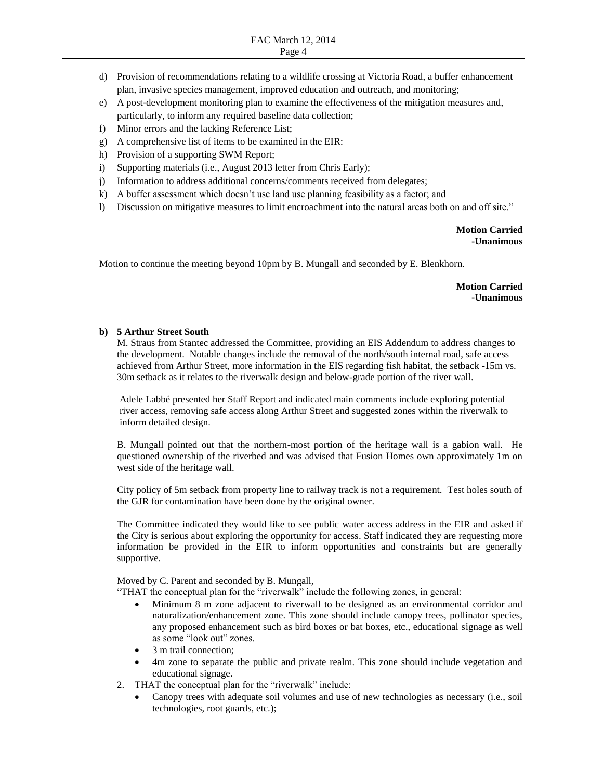- d) Provision of recommendations relating to a wildlife crossing at Victoria Road, a buffer enhancement plan, invasive species management, improved education and outreach, and monitoring;
- e) A post-development monitoring plan to examine the effectiveness of the mitigation measures and, particularly, to inform any required baseline data collection;
- f) Minor errors and the lacking Reference List;
- g) A comprehensive list of items to be examined in the EIR:
- h) Provision of a supporting SWM Report;
- i) Supporting materials (i.e., August 2013 letter from Chris Early);
- j) Information to address additional concerns/comments received from delegates;
- k) A buffer assessment which doesn't use land use planning feasibility as a factor; and
- l) Discussion on mitigative measures to limit encroachment into the natural areas both on and off site."

**Motion Carried -Unanimous**

Motion to continue the meeting beyond 10pm by B. Mungall and seconded by E. Blenkhorn.

**Motion Carried -Unanimous**

#### **b) 5 Arthur Street South**

M. Straus from Stantec addressed the Committee, providing an EIS Addendum to address changes to the development. Notable changes include the removal of the north/south internal road, safe access achieved from Arthur Street, more information in the EIS regarding fish habitat, the setback -15m vs. 30m setback as it relates to the riverwalk design and below-grade portion of the river wall.

Adele Labbé presented her Staff Report and indicated main comments include exploring potential river access, removing safe access along Arthur Street and suggested zones within the riverwalk to inform detailed design.

B. Mungall pointed out that the northern-most portion of the heritage wall is a gabion wall. He questioned ownership of the riverbed and was advised that Fusion Homes own approximately 1m on west side of the heritage wall.

City policy of 5m setback from property line to railway track is not a requirement. Test holes south of the GJR for contamination have been done by the original owner.

The Committee indicated they would like to see public water access address in the EIR and asked if the City is serious about exploring the opportunity for access. Staff indicated they are requesting more information be provided in the EIR to inform opportunities and constraints but are generally supportive.

#### Moved by C. Parent and seconded by B. Mungall,

"THAT the conceptual plan for the "riverwalk" include the following zones, in general:

- Minimum 8 m zone adjacent to riverwall to be designed as an environmental corridor and naturalization/enhancement zone. This zone should include canopy trees, pollinator species, any proposed enhancement such as bird boxes or bat boxes, etc., educational signage as well as some "look out" zones.
- 3 m trail connection;
- 4m zone to separate the public and private realm. This zone should include vegetation and educational signage.
- 2. THAT the conceptual plan for the "riverwalk" include:
	- Canopy trees with adequate soil volumes and use of new technologies as necessary (i.e., soil technologies, root guards, etc.);